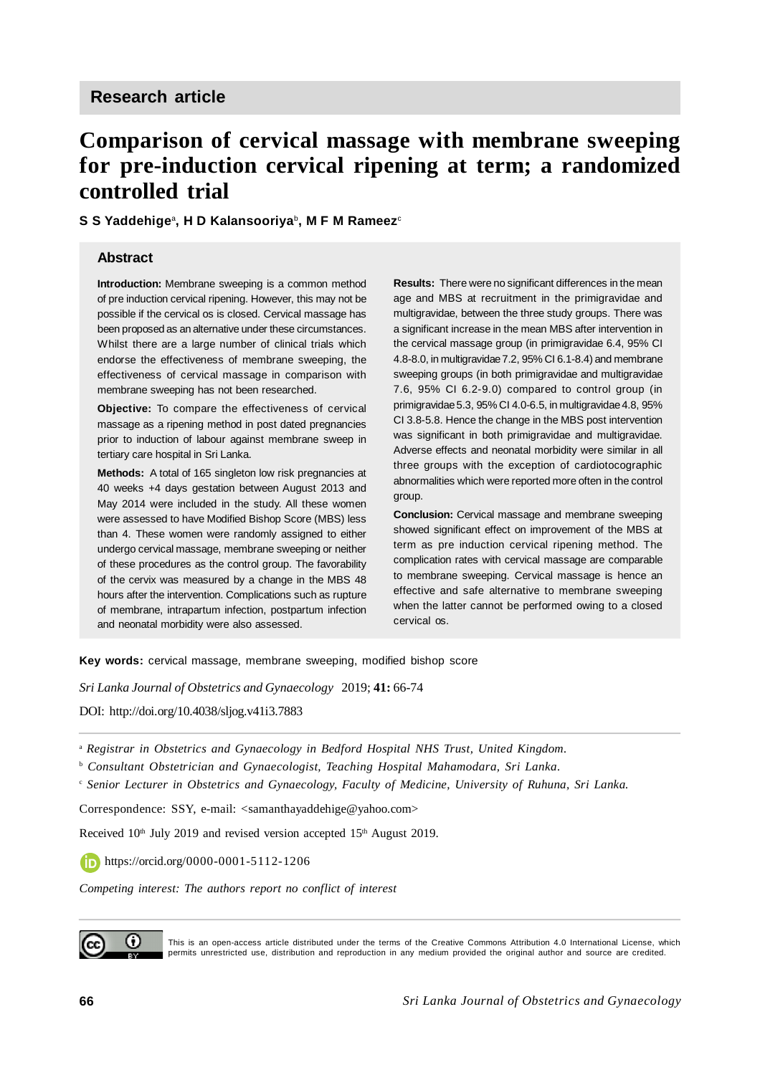# **Comparison of cervical massage with membrane sweeping for pre-induction cervical ripening at term; a randomized controlled trial**

**S S Yaddehige**<sup>a</sup> **, H D Kalansooriya**<sup>b</sup> **, M F M Rameez**<sup>c</sup>

#### **Abstract**

**Introduction:** Membrane sweeping is a common method of pre induction cervical ripening. However, this may not be possible if the cervical os is closed. Cervical massage has been proposed as an alternative under these circumstances. Whilst there are a large number of clinical trials which endorse the effectiveness of membrane sweeping, the effectiveness of cervical massage in comparison with membrane sweeping has not been researched.

**Objective:** To compare the effectiveness of cervical massage as a ripening method in post dated pregnancies prior to induction of labour against membrane sweep in tertiary care hospital in Sri Lanka.

**Methods:** A total of 165 singleton low risk pregnancies at 40 weeks +4 days gestation between August 2013 and May 2014 were included in the study. All these women were assessed to have Modified Bishop Score (MBS) less than 4. These women were randomly assigned to either undergo cervical massage, membrane sweeping or neither of these procedures as the control group. The favorability of the cervix was measured by a change in the MBS 48 hours after the intervention. Complications such as rupture of membrane, intrapartum infection, postpartum infection and neonatal morbidity were also assessed.

**Results:** There were no significant differences in the mean age and MBS at recruitment in the primigravidae and multigravidae, between the three study groups. There was a significant increase in the mean MBS after intervention in the cervical massage group (in primigravidae 6.4, 95% CI 4.8-8.0, in multigravidae 7.2, 95% CI 6.1-8.4) and membrane sweeping groups (in both primigravidae and multigravidae 7.6, 95% CI 6.2-9.0) compared to control group (in primigravidae 5.3, 95% CI 4.0-6.5, in multigravidae 4.8, 95% CI 3.8-5.8. Hence the change in the MBS post intervention was significant in both primigravidae and multigravidae. Adverse effects and neonatal morbidity were similar in all three groups with the exception of cardiotocographic abnormalities which were reported more often in the control group.

**Conclusion:** Cervical massage and membrane sweeping showed significant effect on improvement of the MBS at term as pre induction cervical ripening method. The complication rates with cervical massage are comparable to membrane sweeping. Cervical massage is hence an effective and safe alternative to membrane sweeping when the latter cannot be performed owing to a closed cervical os.

**Key words:** cervical massage, membrane sweeping, modified bishop score

*Sri Lanka Journal of Obstetrics and Gynaecology* 2019; **41:** 66-74

DOI: <http://doi.org/10.4038/sljog.v41i3.7883>

<sup>a</sup> *Registrar in Obstetrics and Gynaecology in Bedford Hospital NHS Trust, United Kingdom.*

b  *Consultant Obstetrician and Gynaecologist, Teaching Hospital Mahamodara, Sri Lanka.*

c  *Senior Lecturer in Obstetrics and Gynaecology, Faculty of Medicine, University of Ruhuna, Sri Lanka.*

Correspondence: SSY, e-mail: [<samanthayaddehige@yahoo.com](mailto:samanthayaddehige@yahoo.com)>

Received 10<sup>th</sup> July 2019 and revised version accepted 15<sup>th</sup> August 2019.

<https://orcid.org/0000-0001-5112-1206>

*Competing interest: The authors report no conflict of interest*



This is an open-access article distributed under the terms of the Creative Commons Attribution 4.0 International License, which permits unrestricted use, distribution and reproduction in any medium provided the original author and source are credited.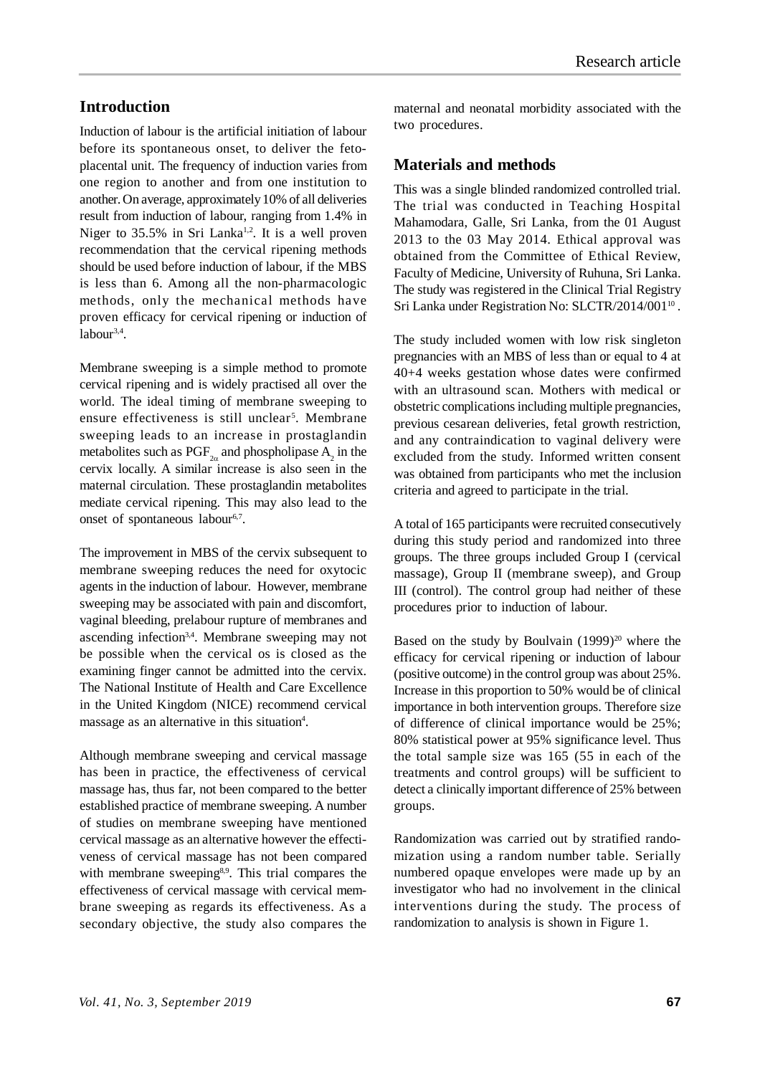## **Introduction**

Induction of labour is the artificial initiation of labour before its spontaneous onset, to deliver the fetoplacental unit. The frequency of induction varies from one region to another and from one institution to another. On average, approximately 10% of all deliveries result from induction of labour, ranging from 1.4% in Niger to  $35.5\%$  in Sri Lanka<sup>1,2</sup>. It is a well proven recommendation that the cervical ripening methods should be used before induction of labour, if the MBS is less than 6. Among all the non-pharmacologic methods, only the mechanical methods have proven efficacy for cervical ripening or induction of labour<sup>3,4</sup>.

Membrane sweeping is a simple method to promote cervical ripening and is widely practised all over the world. The ideal timing of membrane sweeping to ensure effectiveness is still unclear<sup>5</sup>. Membrane sweeping leads to an increase in prostaglandin metabolites such as  $\mathrm{PGF}_{2\alpha}$  and phospholipase  $\mathrm{A}_2$  in the cervix locally. A similar increase is also seen in the maternal circulation. These prostaglandin metabolites mediate cervical ripening. This may also lead to the onset of spontaneous labour<sup>6,7</sup>.

The improvement in MBS of the cervix subsequent to membrane sweeping reduces the need for oxytocic agents in the induction of labour. However, membrane sweeping may be associated with pain and discomfort, vaginal bleeding, prelabour rupture of membranes and ascending infection<sup>3,4</sup>. Membrane sweeping may not be possible when the cervical os is closed as the examining finger cannot be admitted into the cervix. The National Institute of Health and Care Excellence in the United Kingdom (NICE) recommend cervical massage as an alternative in this situation<sup>4</sup>.

Although membrane sweeping and cervical massage has been in practice, the effectiveness of cervical massage has, thus far, not been compared to the better established practice of membrane sweeping. A number of studies on membrane sweeping have mentioned cervical massage as an alternative however the effectiveness of cervical massage has not been compared with membrane sweeping<sup>8,9</sup>. This trial compares the effectiveness of cervical massage with cervical membrane sweeping as regards its effectiveness. As a secondary objective, the study also compares the maternal and neonatal morbidity associated with the two procedures.

#### **Materials and methods**

This was a single blinded randomized controlled trial. The trial was conducted in Teaching Hospital Mahamodara, Galle, Sri Lanka, from the 01 August 2013 to the 03 May 2014. Ethical approval was obtained from the Committee of Ethical Review, Faculty of Medicine, University of Ruhuna, Sri Lanka. The study was registered in the Clinical Trial Registry Sri Lanka under Registration No: SLCTR/2014/001<sup>10</sup>.

The study included women with low risk singleton pregnancies with an MBS of less than or equal to 4 at 40+4 weeks gestation whose dates were confirmed with an ultrasound scan. Mothers with medical or obstetric complications including multiple pregnancies, previous cesarean deliveries, fetal growth restriction, and any contraindication to vaginal delivery were excluded from the study. Informed written consent was obtained from participants who met the inclusion criteria and agreed to participate in the trial.

A total of 165 participants were recruited consecutively during this study period and randomized into three groups. The three groups included Group I (cervical massage), Group II (membrane sweep), and Group III (control). The control group had neither of these procedures prior to induction of labour.

Based on the study by Boulvain  $(1999)^{20}$  where the efficacy for cervical ripening or induction of labour (positive outcome) in the control group was about 25%. Increase in this proportion to 50% would be of clinical importance in both intervention groups. Therefore size of difference of clinical importance would be 25%; 80% statistical power at 95% significance level. Thus the total sample size was 165 (55 in each of the treatments and control groups) will be sufficient to detect a clinically important difference of 25% between groups.

Randomization was carried out by stratified randomization using a random number table. Serially numbered opaque envelopes were made up by an investigator who had no involvement in the clinical interventions during the study. The process of randomization to analysis is shown in Figure 1.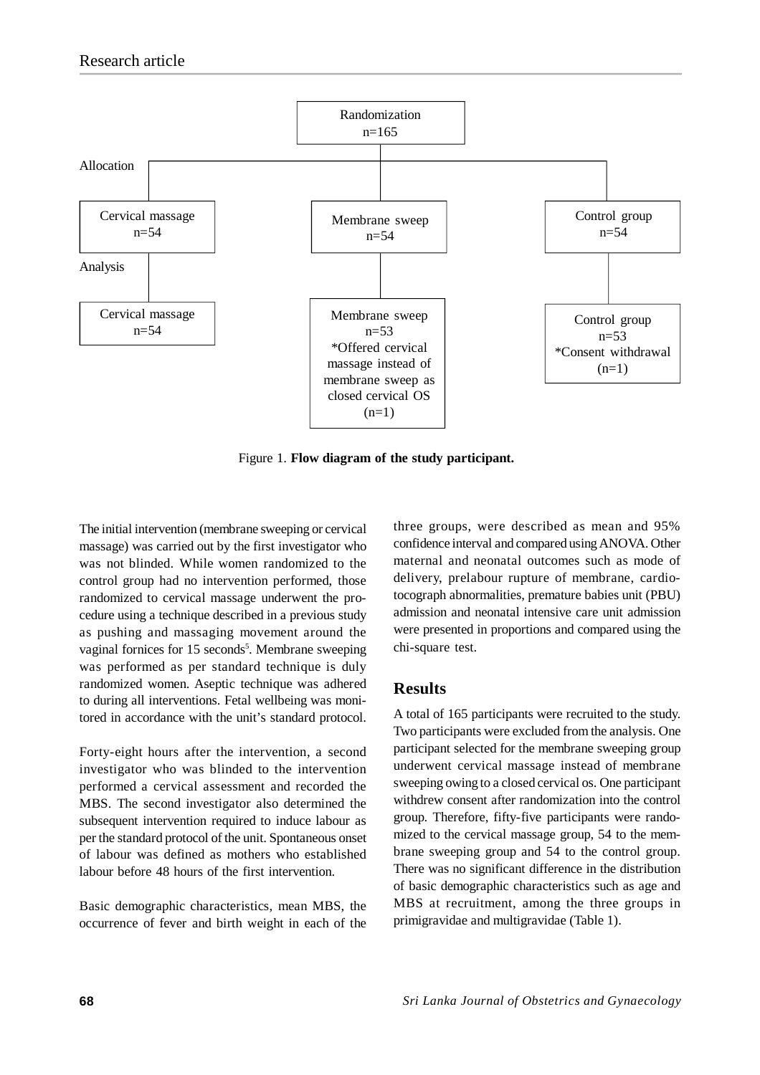

Figure 1. **Flow diagram of the study participant.**

The initial intervention (membrane sweeping or cervical massage) was carried out by the first investigator who was not blinded. While women randomized to the control group had no intervention performed, those randomized to cervical massage underwent the procedure using a technique described in a previous study as pushing and massaging movement around the vaginal fornices for 15 seconds<sup>5</sup>. Membrane sweeping was performed as per standard technique is duly randomized women. Aseptic technique was adhered to during all interventions. Fetal wellbeing was monitored in accordance with the unit's standard protocol.

Forty-eight hours after the intervention, a second investigator who was blinded to the intervention performed a cervical assessment and recorded the MBS. The second investigator also determined the subsequent intervention required to induce labour as per the standard protocol of the unit. Spontaneous onset of labour was defined as mothers who established labour before 48 hours of the first intervention.

Basic demographic characteristics, mean MBS, the occurrence of fever and birth weight in each of the three groups, were described as mean and 95% confidence interval and compared using ANOVA. Other maternal and neonatal outcomes such as mode of delivery, prelabour rupture of membrane, cardiotocograph abnormalities, premature babies unit (PBU) admission and neonatal intensive care unit admission were presented in proportions and compared using the chi-square test.

### **Results**

A total of 165 participants were recruited to the study. Two participants were excluded from the analysis. One participant selected for the membrane sweeping group underwent cervical massage instead of membrane sweeping owing to a closed cervical os. One participant withdrew consent after randomization into the control group. Therefore, fifty-five participants were randomized to the cervical massage group, 54 to the membrane sweeping group and 54 to the control group. There was no significant difference in the distribution of basic demographic characteristics such as age and MBS at recruitment, among the three groups in primigravidae and multigravidae (Table 1).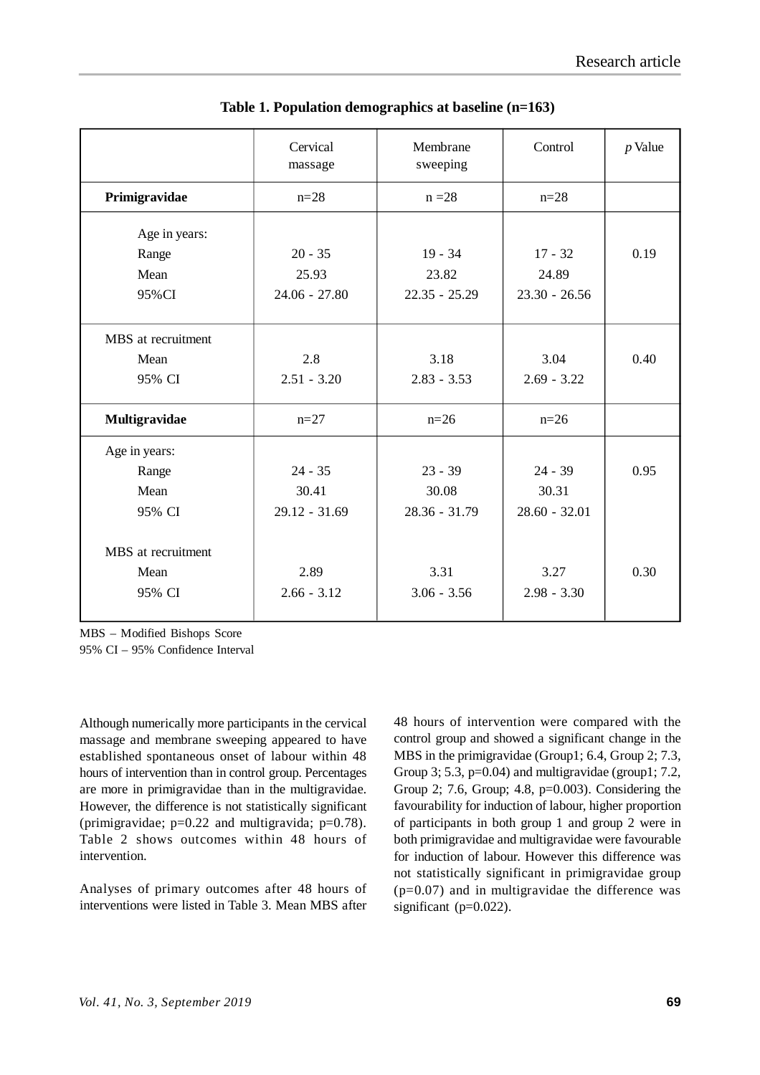|                    | Cervical<br>massage | Membrane<br>sweeping | Control         | $p$ Value |
|--------------------|---------------------|----------------------|-----------------|-----------|
| Primigravidae      | $n=28$              | $n = 28$             | $n=28$          |           |
| Age in years:      |                     |                      |                 |           |
| Range              | $20 - 35$           | $19 - 34$            | $17 - 32$       | 0.19      |
| Mean               | 25.93               | 23.82                | 24.89           |           |
| 95%CI              | $24.06 - 27.80$     | $22.35 - 25.29$      | $23.30 - 26.56$ |           |
| MBS at recruitment |                     |                      |                 |           |
| Mean               | 2.8                 | 3.18                 | 3.04            | 0.40      |
| 95% CI             | $2.51 - 3.20$       | $2.83 - 3.53$        | $2.69 - 3.22$   |           |
| Multigravidae      | $n=27$              | $n=26$               | $n=26$          |           |
| Age in years:      |                     |                      |                 |           |
| Range              | $24 - 35$           | $23 - 39$            | $24 - 39$       | 0.95      |
| Mean               | 30.41               | 30.08                | 30.31           |           |
| 95% CI             | $29.12 - 31.69$     | $28.36 - 31.79$      | $28.60 - 32.01$ |           |
| MBS at recruitment |                     |                      |                 |           |
| Mean               | 2.89                | 3.31                 | 3.27            | 0.30      |
| 95% CI             | $2.66 - 3.12$       | $3.06 - 3.56$        | $2.98 - 3.30$   |           |
|                    |                     |                      |                 |           |

| Table 1. Population demographics at baseline (n=163) |  |  |
|------------------------------------------------------|--|--|
|------------------------------------------------------|--|--|

MBS – Modified Bishops Score

95% CI – 95% Confidence Interval

Although numerically more participants in the cervical massage and membrane sweeping appeared to have established spontaneous onset of labour within 48 hours of intervention than in control group. Percentages are more in primigravidae than in the multigravidae. However, the difference is not statistically significant (primigravidae;  $p=0.22$  and multigravida;  $p=0.78$ ). Table 2 shows outcomes within 48 hours of intervention.

Analyses of primary outcomes after 48 hours of interventions were listed in Table 3. Mean MBS after

48 hours of intervention were compared with the control group and showed a significant change in the MBS in the primigravidae (Group1; 6.4, Group 2; 7.3, Group 3; 5.3, p=0.04) and multigravidae (group1; 7.2, Group 2; 7.6, Group; 4.8,  $p=0.003$ ). Considering the favourability for induction of labour, higher proportion of participants in both group 1 and group 2 were in both primigravidae and multigravidae were favourable for induction of labour. However this difference was not statistically significant in primigravidae group  $(p=0.07)$  and in multigravidae the difference was significant (p=0.022).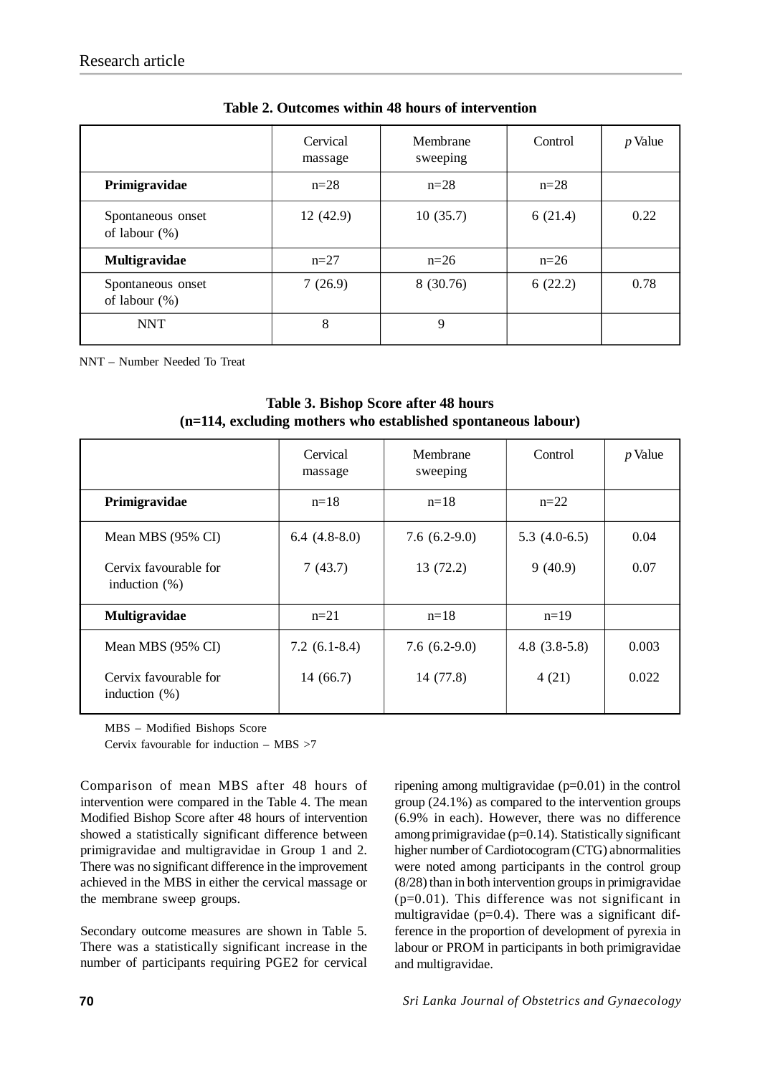|                                       | Cervical<br>massage | Membrane<br>sweeping | Control | $p$ Value |
|---------------------------------------|---------------------|----------------------|---------|-----------|
| Primigravidae                         | $n=28$              | $n=28$               | $n=28$  |           |
| Spontaneous onset<br>of labour $(\%)$ | 12(42.9)            | 10(35.7)             | 6(21.4) | 0.22      |
| Multigravidae                         | $n=27$              | $n=26$               | $n=26$  |           |
| Spontaneous onset<br>of labour $(\%)$ | 7(26.9)             | 8 (30.76)            | 6(22.2) | 0.78      |
| <b>NNT</b>                            | 8                   | 9                    |         |           |

NNT – Number Needed To Treat

|                                           | Cervical<br>massage | Membrane<br>sweeping | Control         | $p$ Value |
|-------------------------------------------|---------------------|----------------------|-----------------|-----------|
| Primigravidae                             | $n = 18$            | $n = 18$             | $n=22$          |           |
| Mean MBS (95% CI)                         | $6.4(4.8-8.0)$      | 7.6 $(6.2-9.0)$      | 5.3 $(4.0-6.5)$ | 0.04      |
| Cervix favourable for<br>induction $(\%)$ | 7(43.7)             | 13 (72.2)            | 9(40.9)         | 0.07      |
| Multigravidae                             | $n=21$              | $n = 18$             | $n=19$          |           |
| Mean MBS (95% CI)                         | $7.2(6.1-8.4)$      | 7.6 $(6.2-9.0)$      | 4.8 $(3.8-5.8)$ | 0.003     |
| Cervix favourable for<br>induction $(\%)$ | 14(66.7)            | 14 (77.8)            | 4(21)           | 0.022     |

**Table 3. Bishop Score after 48 hours (n=114, excluding mothers who established spontaneous labour)**

MBS – Modified Bishops Score

Cervix favourable for induction – MBS >7

Comparison of mean MBS after 48 hours of intervention were compared in the Table 4. The mean Modified Bishop Score after 48 hours of intervention showed a statistically significant difference between primigravidae and multigravidae in Group 1 and 2. There was no significant difference in the improvement achieved in the MBS in either the cervical massage or the membrane sweep groups.

Secondary outcome measures are shown in Table 5. There was a statistically significant increase in the number of participants requiring PGE2 for cervical ripening among multigravidae (p=0.01) in the control group (24.1%) as compared to the intervention groups (6.9% in each). However, there was no difference among primigravidae (p=0.14). Statistically significant higher number of Cardiotocogram (CTG) abnormalities were noted among participants in the control group (8/28) than in both intervention groups in primigravidae  $(p=0.01)$ . This difference was not significant in multigravidae ( $p=0.4$ ). There was a significant difference in the proportion of development of pyrexia in labour or PROM in participants in both primigravidae and multigravidae.

**70** *Sri Lanka Journal of Obstetrics and Gynaecology*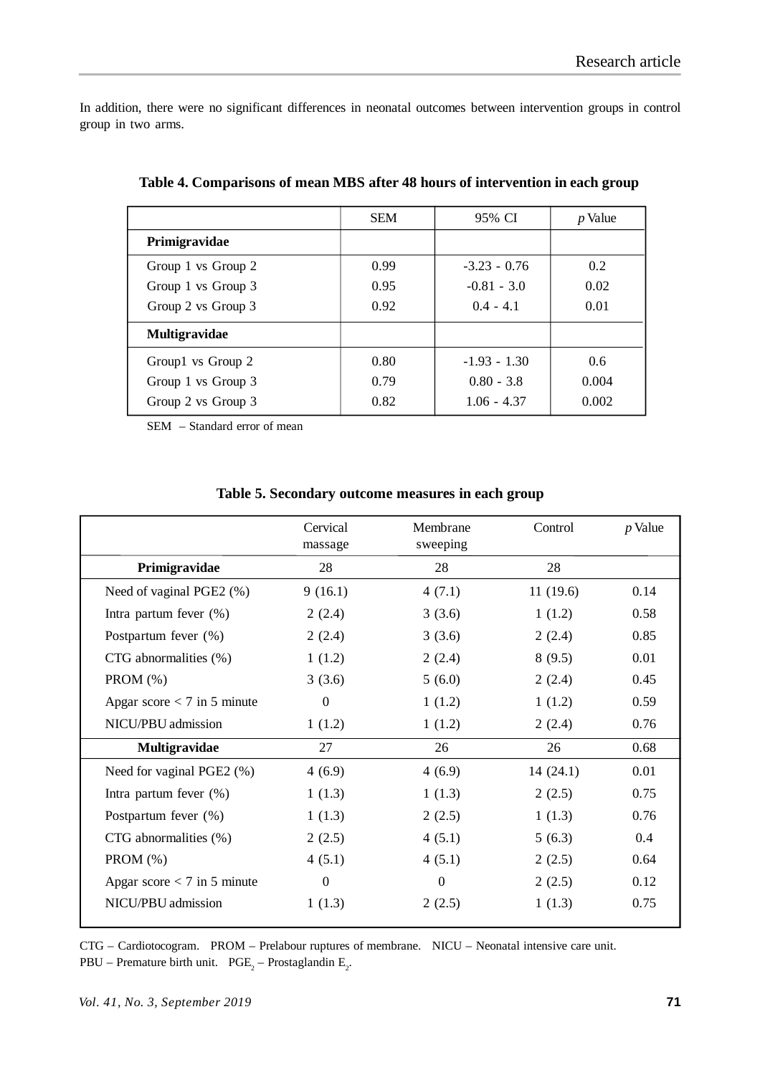In addition, there were no significant differences in neonatal outcomes between intervention groups in control group in two arms.

|                      | <b>SEM</b> | 95% CI         | $p$ Value |
|----------------------|------------|----------------|-----------|
| Primigravidae        |            |                |           |
| Group 1 vs Group 2   | 0.99       | $-3.23 - 0.76$ | 0.2       |
| Group 1 vs Group 3   | 0.95       | $-0.81 - 3.0$  | 0.02      |
| Group 2 vs Group 3   | 0.92       | $0.4 - 4.1$    | 0.01      |
| <b>Multigravidae</b> |            |                |           |
| Group1 vs Group 2    | 0.80       | $-1.93 - 1.30$ | 0.6       |
| Group 1 vs Group 3   | 0.79       | $0.80 - 3.8$   | 0.004     |
| Group 2 vs Group 3   | 0.82       | $1.06 - 4.37$  | 0.002     |

**Table 4. Comparisons of mean MBS after 48 hours of intervention in each group**

SEM – Standard error of mean

|                               | Cervical<br>massage | Membrane<br>sweeping | Control  | $p$ Value |
|-------------------------------|---------------------|----------------------|----------|-----------|
| Primigravidae                 | 28                  | 28                   | 28       |           |
| Need of vaginal PGE2 (%)      | 9(16.1)             | 4(7.1)               | 11(19.6) | 0.14      |
| Intra partum fever $(\%)$     | 2(2.4)              | 3(3.6)               | 1(1.2)   | 0.58      |
| Postpartum fever (%)          | 2(2.4)              | 3(3.6)               | 2(2.4)   | 0.85      |
| CTG abnormalities (%)         | 1(1.2)              | 2(2.4)               | 8(9.5)   | 0.01      |
| PROM $(\%)$                   | 3(3.6)              | 5(6.0)               | 2(2.4)   | 0.45      |
| Apgar score $<$ 7 in 5 minute | $\boldsymbol{0}$    | 1(1.2)               | 1(1.2)   | 0.59      |
| NICU/PBU admission            | 1(1.2)              | 1(1.2)               | 2(2.4)   | 0.76      |
| Multigravidae                 | 27                  | 26                   | 26       | 0.68      |
| Need for vaginal PGE2 (%)     | 4(6.9)              | 4(6.9)               | 14(24.1) | 0.01      |
| Intra partum fever $(\%)$     | 1(1.3)              | 1(1.3)               | 2(2.5)   | 0.75      |
| Postpartum fever (%)          | 1(1.3)              | 2(2.5)               | 1(1.3)   | 0.76      |
| CTG abnormalities (%)         | 2(2.5)              | 4(5.1)               | 5(6.3)   | 0.4       |
| PROM (%)                      | 4(5.1)              | 4(5.1)               | 2(2.5)   | 0.64      |
| Apgar score $<$ 7 in 5 minute | $\theta$            | $\Omega$             | 2(2.5)   | 0.12      |
| NICU/PBU admission            | 1(1.3)              | 2(2.5)               | 1(1.3)   | 0.75      |

### **Table 5. Secondary outcome measures in each group**

CTG – Cardiotocogram. PROM – Prelabour ruptures of membrane. NICU – Neonatal intensive care unit. PBU – Premature birth unit.  $PGE_2$  – Prostaglandin  $E_2$ .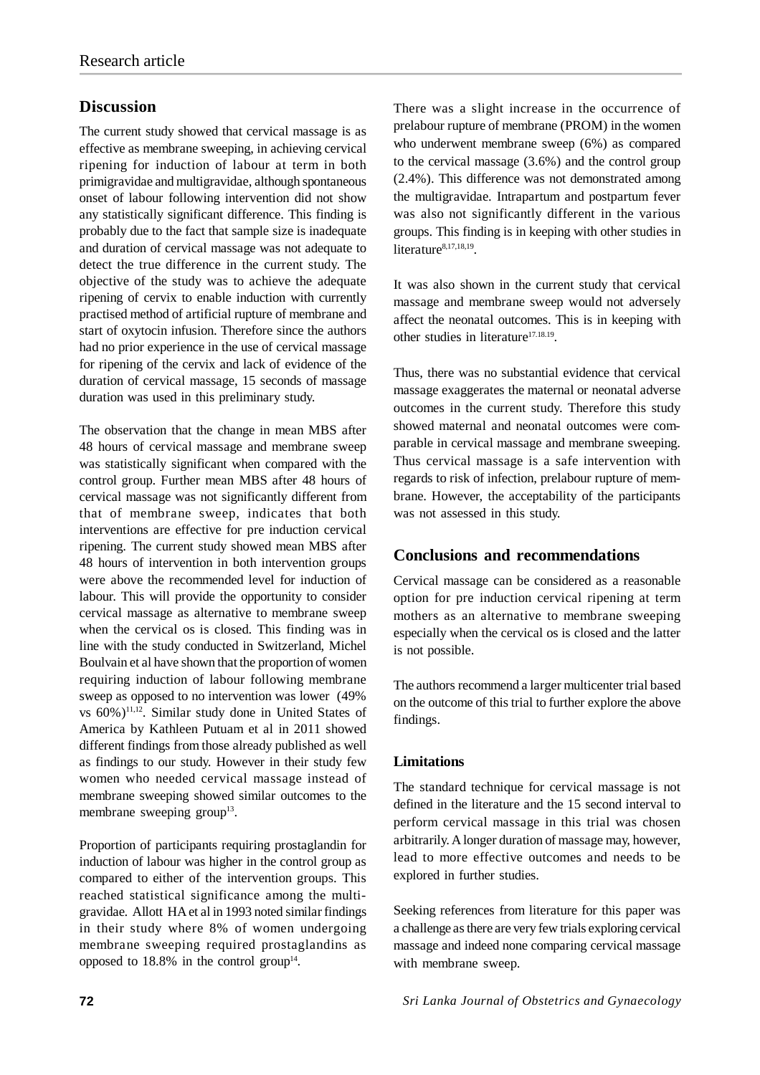## **Discussion**

The current study showed that cervical massage is as effective as membrane sweeping, in achieving cervical ripening for induction of labour at term in both primigravidae and multigravidae, although spontaneous onset of labour following intervention did not show any statistically significant difference. This finding is probably due to the fact that sample size is inadequate and duration of cervical massage was not adequate to detect the true difference in the current study. The objective of the study was to achieve the adequate ripening of cervix to enable induction with currently practised method of artificial rupture of membrane and start of oxytocin infusion. Therefore since the authors had no prior experience in the use of cervical massage for ripening of the cervix and lack of evidence of the duration of cervical massage, 15 seconds of massage duration was used in this preliminary study.

The observation that the change in mean MBS after 48 hours of cervical massage and membrane sweep was statistically significant when compared with the control group. Further mean MBS after 48 hours of cervical massage was not significantly different from that of membrane sweep, indicates that both interventions are effective for pre induction cervical ripening. The current study showed mean MBS after 48 hours of intervention in both intervention groups were above the recommended level for induction of labour. This will provide the opportunity to consider cervical massage as alternative to membrane sweep when the cervical os is closed. This finding was in line with the study conducted in Switzerland, Michel Boulvain et al have shown that the proportion of women requiring induction of labour following membrane sweep as opposed to no intervention was lower (49% vs 60%)<sup>11,12</sup>. Similar study done in United States of America by Kathleen Putuam et al in 2011 showed different findings from those already published as well as findings to our study. However in their study few women who needed cervical massage instead of membrane sweeping showed similar outcomes to the membrane sweeping group<sup>13</sup>.

Proportion of participants requiring prostaglandin for induction of labour was higher in the control group as compared to either of the intervention groups. This reached statistical significance among the multigravidae. Allott HA et al in 1993 noted similar findings in their study where 8% of women undergoing membrane sweeping required prostaglandins as opposed to  $18.8\%$  in the control group<sup>14</sup>.

There was a slight increase in the occurrence of prelabour rupture of membrane (PROM) in the women who underwent membrane sweep (6%) as compared to the cervical massage (3.6%) and the control group (2.4%). This difference was not demonstrated among the multigravidae. Intrapartum and postpartum fever was also not significantly different in the various groups. This finding is in keeping with other studies in literature<sup>8,17,18,19</sup>.

It was also shown in the current study that cervical massage and membrane sweep would not adversely affect the neonatal outcomes. This is in keeping with other studies in literature<sup>17.18.19</sup>.

Thus, there was no substantial evidence that cervical massage exaggerates the maternal or neonatal adverse outcomes in the current study. Therefore this study showed maternal and neonatal outcomes were comparable in cervical massage and membrane sweeping. Thus cervical massage is a safe intervention with regards to risk of infection, prelabour rupture of membrane. However, the acceptability of the participants was not assessed in this study.

## **Conclusions and recommendations**

Cervical massage can be considered as a reasonable option for pre induction cervical ripening at term mothers as an alternative to membrane sweeping especially when the cervical os is closed and the latter is not possible.

The authors recommend a larger multicenter trial based on the outcome of this trial to further explore the above findings.

### **Limitations**

The standard technique for cervical massage is not defined in the literature and the 15 second interval to perform cervical massage in this trial was chosen arbitrarily. A longer duration of massage may, however, lead to more effective outcomes and needs to be explored in further studies.

Seeking references from literature for this paper was a challenge as there are very few trials exploring cervical massage and indeed none comparing cervical massage with membrane sweep.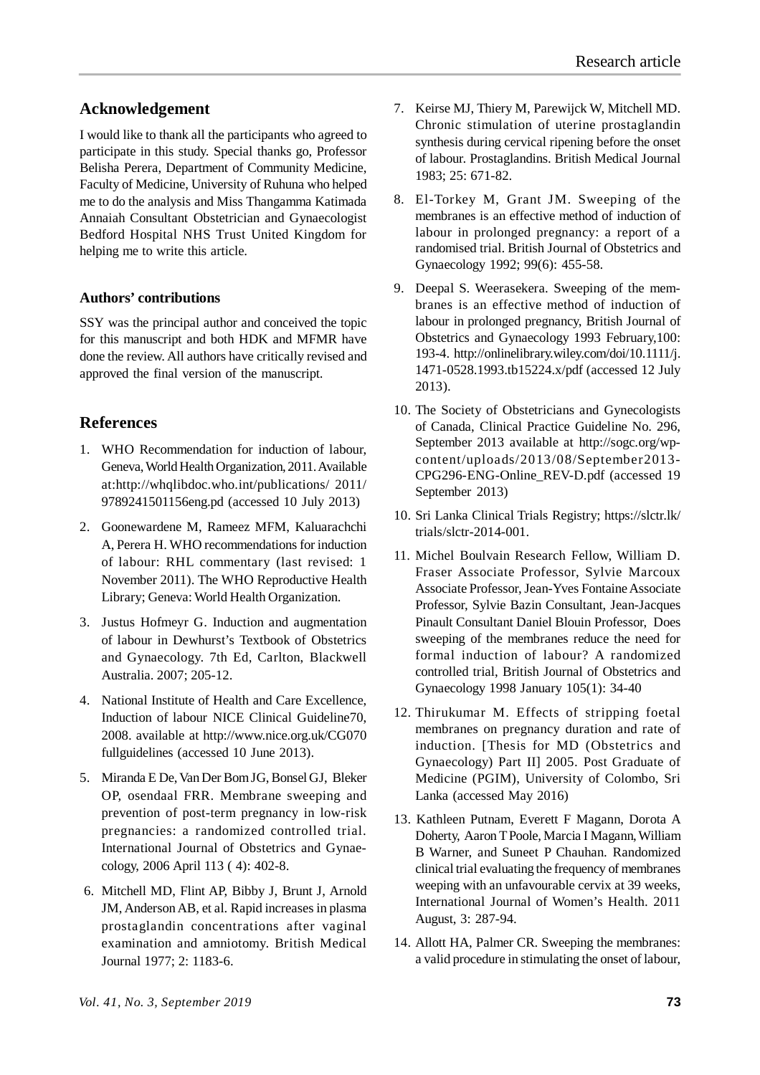## **Acknowledgement**

I would like to thank all the participants who agreed to participate in this study. Special thanks go, Professor Belisha Perera, Department of Community Medicine, Faculty of Medicine, University of Ruhuna who helped me to do the analysis and Miss Thangamma Katimada Annaiah Consultant Obstetrician and Gynaecologist Bedford Hospital NHS Trust United Kingdom for helping me to write this article.

#### **Authors' contributions**

SSY was the principal author and conceived the topic for this manuscript and both HDK and MFMR have done the review. All authors have critically revised and approved the final version of the manuscript.

## **References**

- 1. WHO Recommendation for induction of labour, Geneva, World Health Organization, 2011. Available at:<http://whqlibdoc.who.int/publications/> 2011/ 9789241501156eng.pd (accessed 10 July 2013)
- 2. Goonewardene M, Rameez MFM, Kaluarachchi A, Perera H. WHO recommendations for induction of labour: RHL commentary (last revised: 1 November 2011). The WHO Reproductive Health Library; Geneva: World Health Organization.
- 3. Justus Hofmeyr G. Induction and augmentation of labour in Dewhurst's Textbook of Obstetrics and Gynaecology. 7th Ed, Carlton, Blackwell Australia. 2007; 205-12.
- 4. National Institute of Health and Care Excellence, Induction of labour NICE Clinical Guideline70, 2008. available at <http://www.nice.org.uk/CG070> fullguidelines (accessed 10 June 2013).
- 5. Miranda E De, Van Der Bom JG, Bonsel GJ, Bleker OP, osendaal FRR. Membrane sweeping and prevention of post-term pregnancy in low-risk pregnancies: a randomized controlled trial. International Journal of Obstetrics and Gynaecology, 2006 April 113 ( 4): 402-8.
- 6. Mitchell MD, Flint AP, Bibby J, Brunt J, Arnold JM, Anderson AB, et al. Rapid increases in plasma prostaglandin concentrations after vaginal examination and amniotomy. British Medical Journal 1977; 2: 1183-6.
- 7. Keirse MJ, Thiery M, Parewijck W, Mitchell MD. Chronic stimulation of uterine prostaglandin synthesis during cervical ripening before the onset of labour. Prostaglandins. British Medical Journal 1983; 25: 671-82.
- 8. El-Torkey M, Grant JM. Sweeping of the membranes is an effective method of induction of labour in prolonged pregnancy: a report of a randomised trial. British Journal of Obstetrics and Gynaecology 1992; 99(6): 455-58.
- 9. Deepal S. Weerasekera. Sweeping of the membranes is an effective method of induction of labour in prolonged pregnancy, British Journal of Obstetrics and Gynaecology 1993 February,100: 193-4. <http://onlinelibrary.wiley.com/doi/10.1111/j.> 1471-0528.1993.tb15224.x/pdf (accessed 12 July 2013).
- 10. The Society of Obstetricians and Gynecologists of Canada, Clinical Practice Guideline No. 296, September 2013 available at [http://sogc.org/wp](http://sogc.org/wp-)content/uploads/2013/08/September2013- CPG296-ENG-Online\_REV-D.pdf (accessed 19 September 2013)
- 10. Sri Lanka Clinical Trials Registry; <https://slctr.lk/> trials/slctr-2014-001.
- 11. Michel Boulvain Research Fellow, William D. Fraser Associate Professor, Sylvie Marcoux Associate Professor, Jean-Yves Fontaine Associate Professor, Sylvie Bazin Consultant, Jean-Jacques Pinault Consultant Daniel Blouin Professor, Does sweeping of the membranes reduce the need for formal induction of labour? A randomized controlled trial, British Journal of Obstetrics and Gynaecology 1998 January 105(1): 34-40
- 12. Thirukumar M. Effects of stripping foetal membranes on pregnancy duration and rate of induction. [Thesis for MD (Obstetrics and Gynaecology) Part II] 2005. Post Graduate of Medicine (PGIM), University of Colombo, Sri Lanka (accessed May 2016)
- 13. Kathleen Putnam, Everett F Magann, Dorota A Doherty, Aaron T Poole, Marcia I Magann, William B Warner, and Suneet P Chauhan. Randomized clinical trial evaluating the frequency of membranes weeping with an unfavourable cervix at 39 weeks, International Journal of Women's Health. 2011 August, 3: 287-94.
- 14. Allott HA, Palmer CR. Sweeping the membranes: a valid procedure in stimulating the onset of labour,